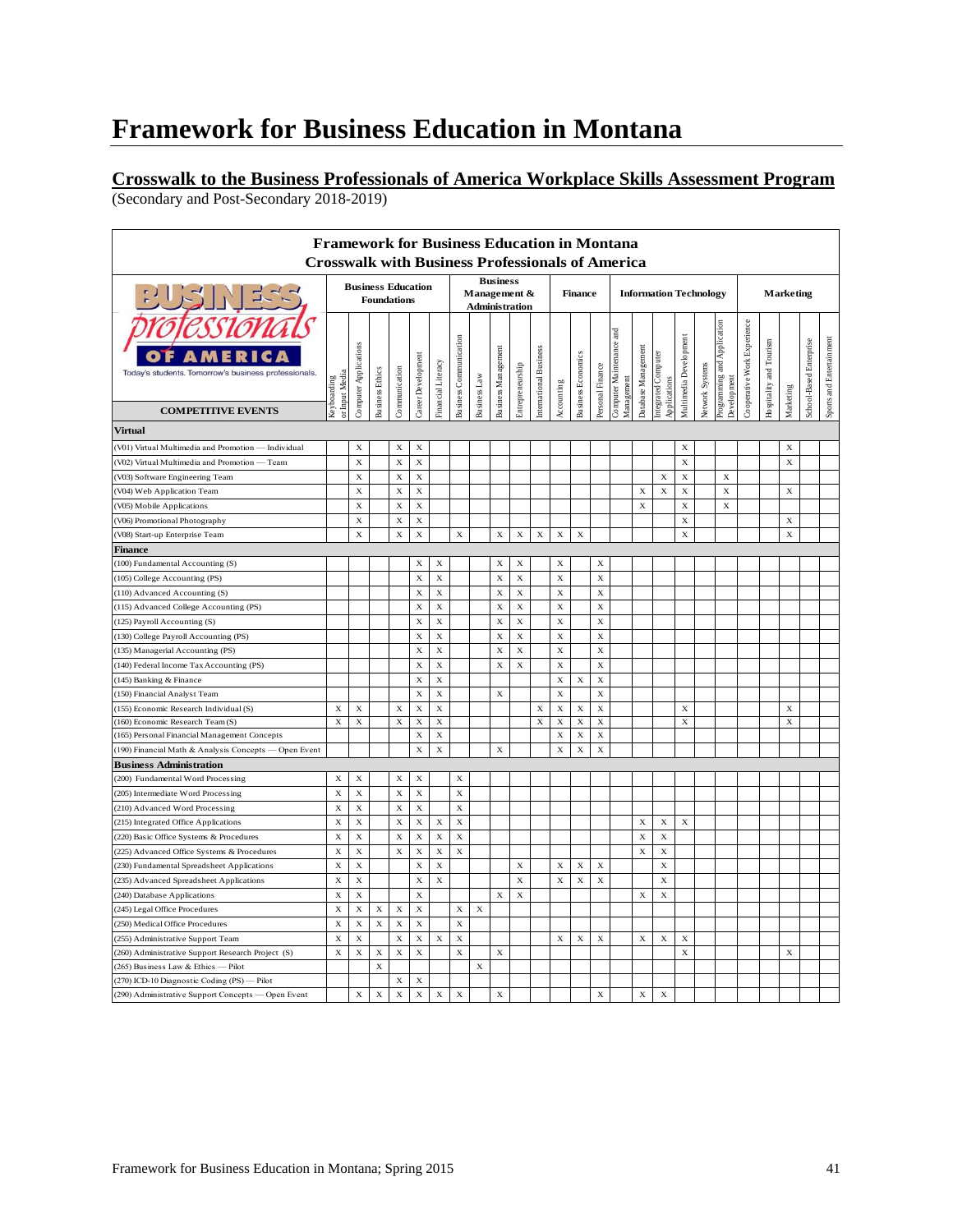#### **Crosswalk to the Business Professionals of America Workplace Skills Assessment Program** (Secondary and Post-Secondary 2018-2019)

|                                                         |                               |                           |                        |               |                    |                    |                               |              |                                 |                  |                        |             |                           |                  | <b>Framework for Business Education in Montana</b><br><b>Crosswalk with Business Professionals of America</b> |                     |                               |                        |                  |                             |                             |                         |             |                         |                          |
|---------------------------------------------------------|-------------------------------|---------------------------|------------------------|---------------|--------------------|--------------------|-------------------------------|--------------|---------------------------------|------------------|------------------------|-------------|---------------------------|------------------|---------------------------------------------------------------------------------------------------------------|---------------------|-------------------------------|------------------------|------------------|-----------------------------|-----------------------------|-------------------------|-------------|-------------------------|--------------------------|
|                                                         |                               | <b>Business Education</b> |                        |               |                    |                    |                               |              | <b>Business</b><br>Management & |                  |                        |             | <b>Finance</b>            |                  |                                                                                                               |                     | <b>Information Technology</b> |                        | <b>Marketing</b> |                             |                             |                         |             |                         |                          |
| $7 - 7$                                                 |                               | <b>Foundations</b>        |                        |               |                    |                    |                               |              | <b>Administration</b>           |                  |                        |             |                           |                  |                                                                                                               |                     |                               |                        |                  |                             |                             |                         |             |                         |                          |
| Today's students. Tomorrow's business professionals.    |                               | Computer Applications     | <b>Business Ethics</b> | Communication | Career Development | Financial Literacy | <b>Business Communication</b> |              | <b>Business Management</b>      | Entrepreneurship | International Business |             | <b>Business Economics</b> | Personal Finance | and<br>Computer Maintenance                                                                                   | Database Management | Integrated Computer           | Multimedia Development | Network Systems  | Programming and Application | Cooperative Work Experience | Hospitality and Tourism |             | School-Based Enterprise | Sports and Entertainment |
|                                                         |                               |                           |                        |               |                    |                    |                               |              |                                 |                  |                        |             |                           |                  |                                                                                                               |                     |                               |                        |                  |                             |                             |                         |             |                         |                          |
| <b>COMPETITIVE EVENTS</b>                               | or Input Media<br>Keyboarding |                           |                        |               |                    |                    |                               | Business Law |                                 |                  |                        | Accounting  |                           |                  | Management                                                                                                    |                     | Applications                  |                        |                  | Development                 |                             |                         | Marketing   |                         |                          |
| <b>Virtual</b>                                          |                               |                           |                        |               |                    |                    |                               |              |                                 |                  |                        |             |                           |                  |                                                                                                               |                     |                               |                        |                  |                             |                             |                         |             |                         |                          |
| V01) Virtual Multimedia and Promotion -<br>- Individual |                               | X                         |                        | $\mathbf X$   | $\mathbf x$        |                    |                               |              |                                 |                  |                        |             |                           |                  |                                                                                                               |                     |                               | $\mathbf x$            |                  |                             |                             |                         | $\bf x$     |                         |                          |
| V02) Virtual Multimedia and Promotion -<br>Team         |                               | $\mathbf x$               |                        | $\mathbf x$   | $\mathbf x$        |                    |                               |              |                                 |                  |                        |             |                           |                  |                                                                                                               |                     |                               | $\mathbf x$            |                  |                             |                             |                         | X           |                         |                          |
| V03) Software Engineering Team                          |                               | $\mathbf x$               |                        | $\mathbf X$   | $\mathbf X$        |                    |                               |              |                                 |                  |                        |             |                           |                  |                                                                                                               |                     | $\mathbf x$                   | $\mathbf X$            |                  | X                           |                             |                         |             |                         |                          |
| (V04) Web Application Team                              |                               | $\mathbf x$               |                        | X             | $\mathbf x$        |                    |                               |              |                                 |                  |                        |             |                           |                  |                                                                                                               | X                   | $\mathbf x$                   | $\mathbf x$            |                  | $\mathbf X$                 |                             |                         | $\mathbf x$ |                         |                          |
|                                                         |                               | $\mathbf x$               |                        | $\mathbf x$   | $\mathbf x$        |                    |                               |              |                                 |                  |                        |             |                           |                  |                                                                                                               | $\mathbf x$         |                               | $\mathbf x$            |                  | X                           |                             |                         |             |                         |                          |
| (V05) Mobile Applications                               |                               | $\mathbf x$               |                        | $\mathbf x$   | $\mathbf x$        |                    |                               |              |                                 |                  |                        |             |                           |                  |                                                                                                               |                     |                               | $\mathbf x$            |                  |                             |                             |                         | X           |                         |                          |
| (V06) Promotional Photography                           |                               | $\mathbf x$               |                        | X             | $\mathbf x$        |                    | $\mathbf X$                   |              | $\mathbf x$                     | $\mathbf x$      | $\mathbf x$            | $\mathbf x$ | $\mathbf x$               |                  |                                                                                                               |                     |                               | $\mathbf x$            |                  |                             |                             |                         | $\bf{x}$    |                         |                          |
| (V08) Start-up Enterprise Team<br>Finance               |                               |                           |                        |               |                    |                    |                               |              |                                 |                  |                        |             |                           |                  |                                                                                                               |                     |                               |                        |                  |                             |                             |                         |             |                         |                          |
| (100) Fundamental Accounting (S)                        |                               |                           |                        |               | $\mathbf x$        | X                  |                               |              | $\mathbf X$                     | $\mathbf x$      |                        | $\mathbf x$ |                           | X                |                                                                                                               |                     |                               |                        |                  |                             |                             |                         |             |                         |                          |
| (105) College Accounting (PS)                           |                               |                           |                        |               | $\mathbf x$        | $\mathbf x$        |                               |              | $\mathbf x$                     | $\mathbf x$      |                        | $\mathbf x$ |                           | $\mathbf x$      |                                                                                                               |                     |                               |                        |                  |                             |                             |                         |             |                         |                          |
| (110) Advanced Accounting (S)                           |                               |                           |                        |               | X                  | X                  |                               |              | $\mathbf X$                     | $\mathbf x$      |                        | $\mathbf x$ |                           | $\mathbf X$      |                                                                                                               |                     |                               |                        |                  |                             |                             |                         |             |                         |                          |
|                                                         |                               |                           |                        |               | $\mathbf x$        | $\mathbf x$        |                               |              | $\mathbf x$                     | X                |                        | $\mathbf x$ |                           | $\mathbf x$      |                                                                                                               |                     |                               |                        |                  |                             |                             |                         |             |                         |                          |
| (115) Advanced College Accounting (PS)                  |                               |                           |                        |               |                    |                    |                               |              |                                 |                  |                        |             |                           |                  |                                                                                                               |                     |                               |                        |                  |                             |                             |                         |             |                         |                          |
| (125) Payroll Accounting (S)                            |                               |                           |                        |               | $\mathbf x$        | $\mathbf x$        |                               |              | $\mathbf x$                     | $\mathbf x$      |                        | $\mathbf x$ |                           | $\mathbf x$      |                                                                                                               |                     |                               |                        |                  |                             |                             |                         |             |                         |                          |
| (130) College Payroll Accounting (PS)                   |                               |                           |                        |               | $\bf{X}$           | $\mathbf x$        |                               |              | $\mathbf x$                     | $\mathbf x$      |                        | $\mathbf X$ |                           | $\mathbf x$      |                                                                                                               |                     |                               |                        |                  |                             |                             |                         |             |                         |                          |
| (135) Managerial Accounting (PS)                        |                               |                           |                        |               | $\mathbf x$        | X                  |                               |              | X                               | $\mathbf x$      |                        | $\mathbf x$ |                           | $\mathbf x$      |                                                                                                               |                     |                               |                        |                  |                             |                             |                         |             |                         |                          |
| (140) Federal Income Tax Accounting (PS)                |                               |                           |                        |               | $\mathbf x$        | $\mathbf x$        |                               |              | $\mathbf x$                     | $\mathbf x$      |                        | $\mathbf x$ |                           | $\mathbf X$      |                                                                                                               |                     |                               |                        |                  |                             |                             |                         |             |                         |                          |
| (145) Banking & Finance                                 |                               |                           |                        |               | $\mathbf x$        | $\mathbf x$        |                               |              |                                 |                  |                        | $\mathbf x$ | $\mathbf x$               | $\mathbf x$      |                                                                                                               |                     |                               |                        |                  |                             |                             |                         |             |                         |                          |
| (150) Financial Analyst Team                            |                               |                           |                        |               | $\mathbf x$        | $\mathbf x$        |                               |              | $\mathbf x$                     |                  |                        | $\mathbf x$ |                           | $\mathbf x$      |                                                                                                               |                     |                               |                        |                  |                             |                             |                         |             |                         |                          |
| (155) Economic Research Individual (S)                  | $\mathbf X$                   | $\mathbf x$               |                        | $\mathbf x$   | $\mathbf X$        | $\mathbf x$        |                               |              |                                 |                  | $\mathbf X$            | $\mathbf X$ | $\mathbf x$               | $\mathbf x$      |                                                                                                               |                     |                               | X                      |                  |                             |                             |                         | X           |                         |                          |
| (160) Economic Research Team (S)                        | $\mathbf x$                   | $\mathbf x$               |                        | X             | $\mathbf x$        | X                  |                               |              |                                 |                  | $\mathbf x$            | $\mathbf X$ | X                         | $\mathbf x$      |                                                                                                               |                     |                               | $\mathbf x$            |                  |                             |                             |                         | X           |                         |                          |
| (165) Personal Financial Management Concepts            |                               |                           |                        |               | X                  | $\mathbf x$        |                               |              |                                 |                  |                        | $\mathbf x$ | X                         | $\mathbf X$      |                                                                                                               |                     |                               |                        |                  |                             |                             |                         |             |                         |                          |
| (190) Financial Math & Analysis Concepts - Open Event   |                               |                           |                        |               | $\mathbf x$        | $\mathbf x$        |                               |              | $\mathbf x$                     |                  |                        | $\mathbf x$ | $\mathbf x$               | $\mathbf x$      |                                                                                                               |                     |                               |                        |                  |                             |                             |                         |             |                         |                          |
| <b>Business Administration</b>                          |                               |                           |                        |               |                    |                    |                               |              |                                 |                  |                        |             |                           |                  |                                                                                                               |                     |                               |                        |                  |                             |                             |                         |             |                         |                          |
| (200) Fundamental Word Processing                       | $\mathbf x$                   | $\mathbf x$               |                        | $\mathbf x$   | $\mathbf x$        |                    | $\mathbf x$                   |              |                                 |                  |                        |             |                           |                  |                                                                                                               |                     |                               |                        |                  |                             |                             |                         |             |                         |                          |
| (205) Intermediate Word Processing                      | $\mathbf X$                   | $\mathbf x$               |                        | $\bf{X}$      | $\mathbf x$        |                    | $\mathbf x$                   |              |                                 |                  |                        |             |                           |                  |                                                                                                               |                     |                               |                        |                  |                             |                             |                         |             |                         |                          |
| (210) Advanced Word Processing                          | X                             | X                         |                        | X             | X                  |                    | $\mathbf X$                   |              |                                 |                  |                        |             |                           |                  |                                                                                                               |                     |                               |                        |                  |                             |                             |                         |             |                         |                          |
| (215) Integrated Office Applications                    | $\mathbf x$                   | $\mathbf x$               |                        | X             | $\mathbf x$        | $\bf x$            | $\mathbf X$                   |              |                                 |                  |                        |             |                           |                  |                                                                                                               | $\mathbf X$         | $\mathbf x$                   | $\mathbf x$            |                  |                             |                             |                         |             |                         |                          |
| (220) Basic Office Systems & Procedures                 | $\mathbf x$                   | $\mathbf x$               |                        | $\mathbf x$   | $\mathbf X$        | $\mathbf x$        | $\mathbf X$                   |              |                                 |                  |                        |             |                           |                  |                                                                                                               | $\mathbf x$         | $\mathbf x$                   |                        |                  |                             |                             |                         |             |                         |                          |
| (225) Advanced Office Systems & Procedures              | $\mathbf X$                   | $\mathbf x$               |                        | $\mathbf x$   | $\mathbf x$        | $\mathbf x$        | $\mathbf X$                   |              |                                 |                  |                        |             |                           |                  |                                                                                                               | $\mathbf X$         | $\mathbf X$                   |                        |                  |                             |                             |                         |             |                         |                          |
| (230) Fundamental Spreadsheet Applications              | $\mathbf x$                   | $\mathbf x$               |                        |               | $\mathbf x$        | $\mathbf x$        |                               |              |                                 | X                |                        | X           | X                         | X                |                                                                                                               |                     | $\mathbf x$                   |                        |                  |                             |                             |                         |             |                         |                          |
| (235) Advanced Spreadsheet Applications                 | X                             | X                         |                        |               | $\mathbf x$        | $\mathbf x$        |                               |              |                                 | $\mathbf x$      |                        | $\mathbf x$ | X                         | X                |                                                                                                               |                     | $\mathbf x$                   |                        |                  |                             |                             |                         |             |                         |                          |
| (240) Database Applications                             | $\mathbf{x}$                  | $\mathbf x$               |                        |               | $\bf x$            |                    |                               |              | $\mathbf x$                     | $\mathbf x$      |                        |             |                           |                  |                                                                                                               | $\mathbf x$         | $\mathbf x$                   |                        |                  |                             |                             |                         |             |                         |                          |
| (245) Legal Office Procedures                           | $\mathbf x$                   | $\mathbf x$               | X                      | X             | $\mathbf X$        |                    | X                             | $\mathbf X$  |                                 |                  |                        |             |                           |                  |                                                                                                               |                     |                               |                        |                  |                             |                             |                         |             |                         |                          |
| (250) Medical Office Procedures                         | $\mathbf X$                   | $\mathbf x$               | $\mathbf X$            | $\mathbf x$   | $\mathbf X$        |                    | $\mathbf X$                   |              |                                 |                  |                        |             |                           |                  |                                                                                                               |                     |                               |                        |                  |                             |                             |                         |             |                         |                          |
| (255) Administrative Support Team                       | $\mathbf x$                   | $\mathbf x$               |                        | $\bf x$       | $\mathbf x$        | $\mathbf x$        | $\mathbf x$                   |              |                                 |                  |                        | $\mathbf x$ | $\mathbf x$               | $\mathbf x$      |                                                                                                               | $\mathbf X$         | $\mathbf x$                   | $\mathbf x$            |                  |                             |                             |                         |             |                         |                          |
| (260) Administrative Support Research Project (S)       | $\mathbf X$                   | $\mathbf x$               | $\bf{X}$               | $\mathbf X$   | $\mathbf x$        |                    | $\mathbf x$                   |              | X                               |                  |                        |             |                           |                  |                                                                                                               |                     |                               | $\mathbf x$            |                  |                             |                             |                         | $\mathbf x$ |                         |                          |
| (265) Business Law & Ethics - Pilot                     |                               |                           | $\mathbf x$            |               |                    |                    |                               | $\mathbf X$  |                                 |                  |                        |             |                           |                  |                                                                                                               |                     |                               |                        |                  |                             |                             |                         |             |                         |                          |
| (270) ICD-10 Diagnostic Coding (PS) - Pilot             |                               |                           |                        | $\mathbf x$   | $\mathbf x$        |                    |                               |              |                                 |                  |                        |             |                           |                  |                                                                                                               |                     |                               |                        |                  |                             |                             |                         |             |                         |                          |
| (290) Administrative Support Concepts - Open Event      |                               | $\mathbf x$               | $\bf{X}$               | $\mathbf x$   | $\mathbf x$        | $\mathbf X$        | $\mathbf X$                   |              | $\mathbf X$                     |                  |                        |             |                           | $\mathbf X$      |                                                                                                               | $\mathbf X$         | $\mathbf x$                   |                        |                  |                             |                             |                         |             |                         |                          |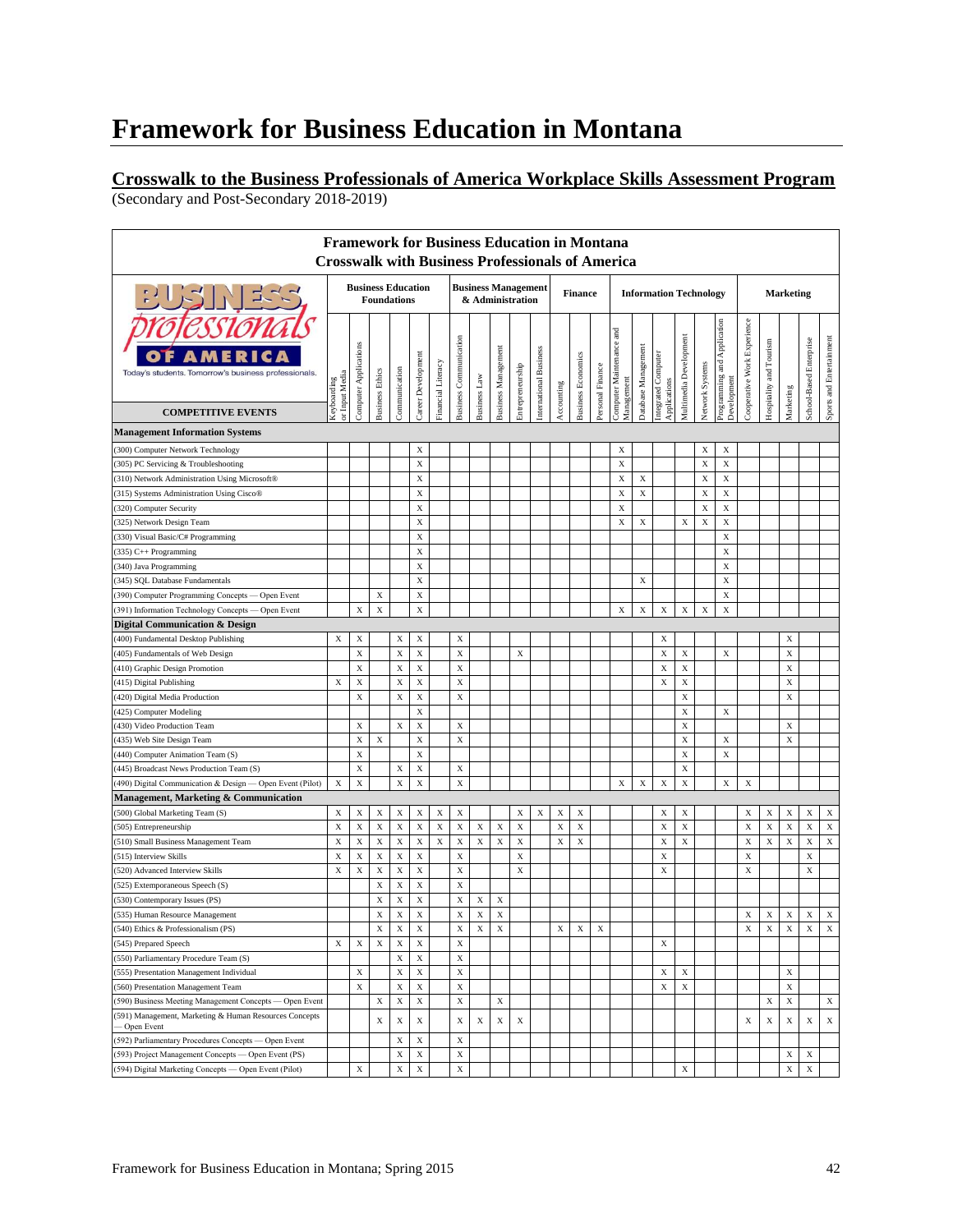#### **Crosswalk to the Business Professionals of America Workplace Skills Assessment Program**  (Secondary and Post-Secondary 2018-2019)

| <b>Business Education</b><br><b>Business Management</b><br>$7 - 7$<br><b>Information Technology</b><br><b>Marketing</b><br><b>Finance</b><br><b>Foundations</b><br>& Administration<br>Cooperative Work Experience<br>Programming and Application<br>$_{\rm rad}$<br>Multimedia Development<br><b>Business Communication</b><br>Sports and Entertainment<br>School-Based Enterprise<br>Hospitality and Tourism<br>Computer Maintenance<br>Computer Applications<br>Database Management<br>Business Management<br>international Business<br>Integrated Computer<br>Applications<br>Career Development<br><b>Business Economics</b><br>Financial Literacy<br>Network Systems<br>Entrepreneurship<br>Personal Finance<br>Communication<br><b>Business Ethics</b><br>Today's students. Tomorrow's business professionals.<br>or Input Media<br>Business Law<br>Management<br>Development<br><b>Keyboarding</b><br>Accounting<br>Marketing<br><b>COMPETITIVE EVENTS</b><br>X<br>$\mathbf X$<br>(300) Computer Network Technology<br>X<br>X<br>$\mathbf X$<br>$\mathbf X$<br>$\mathbf X$<br>$\mathbf X$<br>(305) PC Servicing & Troubleshooting<br>X<br>X<br>X<br>X<br>X<br>(310) Network Administration Using Microsoft®<br>$\mathbf X$<br>$\mathbf X$<br>$\mathbf X$<br>$\mathbf X$<br>$\mathbf X$<br>(315) Systems Administration Using Cisco®<br>$\mathbf X$<br>$\mathbf X$<br>$\mathbf X$<br>$\mathbf X$<br>(320) Computer Security<br>$\mathbf X$<br>$\mathbf X$<br>$\mathbf X$<br>$\mathbf X$<br>$\mathbf X$<br>$\mathbf X$<br>325) Network Design Team<br>$\mathbf X$<br>X<br>(330) Visual Basic/C# Programming<br>X<br>X<br>(335) C++ Programming<br>$\mathbf X$<br>X<br>(340) Java Programming<br>$\mathbf X$<br>X<br>X<br>(345) SQL Database Fundamentals<br>$\mathbf X$<br>$\mathbf X$<br>X<br>(390) Computer Programming Concepts - Open Event<br>X<br>X<br>X<br>X<br>$\mathbf X$<br>X<br>X<br>(391) Information Technology Concepts - Open Event<br>X<br>X<br>Digital Communication & Design<br>$\mathbf X$<br>X<br>$\mathbf X$<br>X<br>X<br>X<br>X<br>(400) Fundamental Desktop Publishing<br>$\bf{X}$<br>$\mathbf X$<br>X<br>$\mathbf X$<br>$\mathbf X$<br>X<br>X<br>$\mathbf X$<br>$\mathbf X$<br>(405) Fundamentals of Web Design<br>X<br>$\mathbf X$<br>X<br>$\mathbf X$<br>X<br>$\mathbf X$<br>X<br>(410) Graphic Design Promotion<br>$\mathbf X$<br>$\mathbf X$<br>$\mathbf X$<br>X<br>$\mathbf X$<br>$\mathbf X$<br>$\mathbf X$<br>X<br>(415) Digital Publishing<br>$\mathbf x$<br>X<br>$\mathbf X$<br>$\mathbf X$<br>$\mathbf X$<br>X<br>(420) Digital Media Production<br>$\mathbf X$<br>$\mathbf X$<br>X<br>(425) Computer Modeling<br>$\mathbf X$<br>$\mathbf X$<br>X<br>X<br>$\mathbf X$<br>X<br>430) Video Production Team<br>$\mathbf x$<br>$\mathbf X$<br>$\mathbf X$<br>$\mathbf X$<br>X<br>X<br>435) Web Site Design Team<br>X<br>$\mathbf x$<br>$\mathbf X$<br>$\mathbf X$<br>$\mathbf X$<br>(440) Computer Animation Team (S)<br>$\mathbf x$<br>$\mathbf X$<br>$\mathbf X$<br>$\mathbf X$<br>$\mathbf X$<br>(445) Broadcast News Production Team (S)<br>$\mathbf X$<br>$\mathbf X$<br>$\mathbf X$<br>$\mathbf X$<br>$\mathbf X$<br>$\mathbf X$<br>$\mathbf X$<br>$\mathbf X$<br>X<br>$\mathbf X$<br>X<br>490) Digital Communication & Design - Open Event (Pilot)<br>Management, Marketing & Communication<br>X<br>X<br>X<br>X<br>$\mathbf X$<br>(500) Global Marketing Team (S)<br>X<br>X<br>X<br>X<br>X<br>X<br>X<br>X<br>X<br>X<br>X<br>X<br>X<br>$\mathbf X$<br>$\mathbf X$<br>$\mathbf X$<br>$\mathbf X$<br>$\mathbf X$<br>$\mathbf X$<br>X<br>X<br>X<br>$\mathbf X$<br>$\mathbf X$<br>$\mathbf X$<br>X<br>X<br>X<br>X<br>X<br>$\mathbf X$<br>$\mathbf X$<br>(505) Entrepreneurship<br>$\mathbf X$<br>$\mathbf X$<br>$\mathbf X$<br>$\mathbf X$<br>$\mathbf X$<br>$\mathbf X$<br>$\mathbf X$<br>$\mathbf X$<br>$\mathbf X$<br>$\mathbf X$<br>$\mathbf X$<br>$\mathbf X$<br>X<br>$\mathbf X$<br>$\mathbf X$<br>X<br>$\mathbf X$<br>X<br>X<br>(510) Small Business Management Team<br>$\mathbf X$<br>$\mathbf X$<br>$\mathbf X$<br>$\mathbf X$<br>$\mathbf X$<br>$\mathbf X$<br>$\mathbf x$<br>X<br>$\mathbf X$<br>X<br>(515) Interview Skills<br>X<br>$\mathbf X$<br>$\mathbf x$<br>$\mathbf X$<br>X<br>$\mathbf X$<br>X<br>X<br>X<br>X<br>520) Advanced Interview Skills<br>$\mathbf X$<br>$\mathbf X$<br>$\mathbf X$<br>$\mathbf X$<br>525) Extemporaneous Speech (S)<br>$\mathbf X$<br>$\mathbf X$<br>X<br>$\mathbf X$<br>X<br>X<br>(530) Contemporary Issues (PS)<br>X<br>X<br>$\mathbf X$<br>$\mathbf X$<br>$\mathbf X$<br>$\mathbf X$<br>$\mathbf X$<br>X<br>$\mathbf X$<br>$\mathbf X$<br>$\mathbf X$<br>(535) Human Resource Management<br>(540) Ethics & Professionalism (PS)<br>X<br>X<br>Χ<br>X<br>X<br>X<br>X<br>X<br>Х<br>X<br>X<br>X<br>X<br>X<br>$\mathbf X$<br>$\mathbf X$<br>$\mathbf X$<br>$\mathbf X$<br>$\mathbf X$<br>X<br>$\mathbf X$<br>(545) Prepared Speech<br>$\mathbf X$<br>$\mathbf X$<br>X<br>(550) Parliamentary Procedure Team (S)<br>$\mathbf X$<br>$\mathbf X$<br>X<br>$\mathbf X$<br>X<br>(555) Presentation Management Individual<br>X<br>X<br>$\mathbf X$<br>$\mathbf X$<br>$\mathbf X$<br>X<br>$\mathbf X$<br>$\mathbf X$<br>$\mathbf X$<br>(560) Presentation Management Team<br>$\mathbf X$<br>$\mathbf X$<br>$\mathbf X$<br>$\mathbf X$<br>(590) Business Meeting Management Concepts - Open Event<br>X<br>X<br>X<br>X<br>$\mathbf X$<br>$\mathbf X$<br>$\mathbf X$<br>$\mathbf X$<br>$\mathbf X$<br>$\mathbf X$<br>$\mathbf X$<br>$\mathbf x$<br>X<br>X<br>X<br>X<br>- Open Event<br>$\mathbf X$<br>(592) Parliamentary Procedures Concepts - Open Event<br>X<br>X<br>$\mathbf X$<br>X<br>$\mathbf X$<br>X<br>X<br>(593) Project Management Concepts — Open Event (PS) |                                                        | <b>Framework for Business Education in Montana</b> |   |   |   |   |  |  |  | <b>Crosswalk with Business Professionals of America</b> |  |  |  |  |  |   |   |  |
|-------------------------------------------------------------------------------------------------------------------------------------------------------------------------------------------------------------------------------------------------------------------------------------------------------------------------------------------------------------------------------------------------------------------------------------------------------------------------------------------------------------------------------------------------------------------------------------------------------------------------------------------------------------------------------------------------------------------------------------------------------------------------------------------------------------------------------------------------------------------------------------------------------------------------------------------------------------------------------------------------------------------------------------------------------------------------------------------------------------------------------------------------------------------------------------------------------------------------------------------------------------------------------------------------------------------------------------------------------------------------------------------------------------------------------------------------------------------------------------------------------------------------------------------------------------------------------------------------------------------------------------------------------------------------------------------------------------------------------------------------------------------------------------------------------------------------------------------------------------------------------------------------------------------------------------------------------------------------------------------------------------------------------------------------------------------------------------------------------------------------------------------------------------------------------------------------------------------------------------------------------------------------------------------------------------------------------------------------------------------------------------------------------------------------------------------------------------------------------------------------------------------------------------------------------------------------------------------------------------------------------------------------------------------------------------------------------------------------------------------------------------------------------------------------------------------------------------------------------------------------------------------------------------------------------------------------------------------------------------------------------------------------------------------------------------------------------------------------------------------------------------------------------------------------------------------------------------------------------------------------------------------------------------------------------------------------------------------------------------------------------------------------------------------------------------------------------------------------------------------------------------------------------------------------------------------------------------------------------------------------------------------------------------------------------------------------------------------------------------------------------------------------------------------------------------------------------------------------------------------------------------------------------------------------------------------------------------------------------------------------------------------------------------------------------------------------------------------------------------------------------------------------------------------------------------------------------------------------------------------------------------------------------------------------------------------------------------------------------------------------------------------------------------------------------------------------------------------------------------------------------------------------------------------------------------------------------------------------------------------------------------------------------------------------------------------------------------------------------------------------------------------------------------------------------------------------------------------------------------------------------------------------------------------------------------------------------------------------------------------------------------------------------------------------------------------------------------------------------------------------------------------------------------------------------------------------------------------------------------------------------------------------------------------------------------------------------------------------------------------------------------------------------------------------------------------------------------------------------------------------------------------------------------------------------------------------------------------------------------------------------------------------------------------------------------------------------------------------------------------------|--------------------------------------------------------|----------------------------------------------------|---|---|---|---|--|--|--|---------------------------------------------------------|--|--|--|--|--|---|---|--|
|                                                                                                                                                                                                                                                                                                                                                                                                                                                                                                                                                                                                                                                                                                                                                                                                                                                                                                                                                                                                                                                                                                                                                                                                                                                                                                                                                                                                                                                                                                                                                                                                                                                                                                                                                                                                                                                                                                                                                                                                                                                                                                                                                                                                                                                                                                                                                                                                                                                                                                                                                                                                                                                                                                                                                                                                                                                                                                                                                                                                                                                                                                                                                                                                                                                                                                                                                                                                                                                                                                                                                                                                                                                                                                                                                                                                                                                                                                                                                                                                                                                                                                                                                                                                                                                                                                                                                                                                                                                                                                                                                                                                                                                                                                                                                                                                                                                                                                                                                                                                                                                                                                                                                                                                                                                                                                                                                                                                                                                                                                                                                                                                                                                                                                                                                 |                                                        |                                                    |   |   |   |   |  |  |  |                                                         |  |  |  |  |  |   |   |  |
|                                                                                                                                                                                                                                                                                                                                                                                                                                                                                                                                                                                                                                                                                                                                                                                                                                                                                                                                                                                                                                                                                                                                                                                                                                                                                                                                                                                                                                                                                                                                                                                                                                                                                                                                                                                                                                                                                                                                                                                                                                                                                                                                                                                                                                                                                                                                                                                                                                                                                                                                                                                                                                                                                                                                                                                                                                                                                                                                                                                                                                                                                                                                                                                                                                                                                                                                                                                                                                                                                                                                                                                                                                                                                                                                                                                                                                                                                                                                                                                                                                                                                                                                                                                                                                                                                                                                                                                                                                                                                                                                                                                                                                                                                                                                                                                                                                                                                                                                                                                                                                                                                                                                                                                                                                                                                                                                                                                                                                                                                                                                                                                                                                                                                                                                                 |                                                        |                                                    |   |   |   |   |  |  |  |                                                         |  |  |  |  |  |   |   |  |
|                                                                                                                                                                                                                                                                                                                                                                                                                                                                                                                                                                                                                                                                                                                                                                                                                                                                                                                                                                                                                                                                                                                                                                                                                                                                                                                                                                                                                                                                                                                                                                                                                                                                                                                                                                                                                                                                                                                                                                                                                                                                                                                                                                                                                                                                                                                                                                                                                                                                                                                                                                                                                                                                                                                                                                                                                                                                                                                                                                                                                                                                                                                                                                                                                                                                                                                                                                                                                                                                                                                                                                                                                                                                                                                                                                                                                                                                                                                                                                                                                                                                                                                                                                                                                                                                                                                                                                                                                                                                                                                                                                                                                                                                                                                                                                                                                                                                                                                                                                                                                                                                                                                                                                                                                                                                                                                                                                                                                                                                                                                                                                                                                                                                                                                                                 |                                                        |                                                    |   |   |   |   |  |  |  |                                                         |  |  |  |  |  |   |   |  |
|                                                                                                                                                                                                                                                                                                                                                                                                                                                                                                                                                                                                                                                                                                                                                                                                                                                                                                                                                                                                                                                                                                                                                                                                                                                                                                                                                                                                                                                                                                                                                                                                                                                                                                                                                                                                                                                                                                                                                                                                                                                                                                                                                                                                                                                                                                                                                                                                                                                                                                                                                                                                                                                                                                                                                                                                                                                                                                                                                                                                                                                                                                                                                                                                                                                                                                                                                                                                                                                                                                                                                                                                                                                                                                                                                                                                                                                                                                                                                                                                                                                                                                                                                                                                                                                                                                                                                                                                                                                                                                                                                                                                                                                                                                                                                                                                                                                                                                                                                                                                                                                                                                                                                                                                                                                                                                                                                                                                                                                                                                                                                                                                                                                                                                                                                 | <b>Management Information Systems</b>                  |                                                    |   |   |   |   |  |  |  |                                                         |  |  |  |  |  |   |   |  |
|                                                                                                                                                                                                                                                                                                                                                                                                                                                                                                                                                                                                                                                                                                                                                                                                                                                                                                                                                                                                                                                                                                                                                                                                                                                                                                                                                                                                                                                                                                                                                                                                                                                                                                                                                                                                                                                                                                                                                                                                                                                                                                                                                                                                                                                                                                                                                                                                                                                                                                                                                                                                                                                                                                                                                                                                                                                                                                                                                                                                                                                                                                                                                                                                                                                                                                                                                                                                                                                                                                                                                                                                                                                                                                                                                                                                                                                                                                                                                                                                                                                                                                                                                                                                                                                                                                                                                                                                                                                                                                                                                                                                                                                                                                                                                                                                                                                                                                                                                                                                                                                                                                                                                                                                                                                                                                                                                                                                                                                                                                                                                                                                                                                                                                                                                 |                                                        |                                                    |   |   |   |   |  |  |  |                                                         |  |  |  |  |  |   |   |  |
|                                                                                                                                                                                                                                                                                                                                                                                                                                                                                                                                                                                                                                                                                                                                                                                                                                                                                                                                                                                                                                                                                                                                                                                                                                                                                                                                                                                                                                                                                                                                                                                                                                                                                                                                                                                                                                                                                                                                                                                                                                                                                                                                                                                                                                                                                                                                                                                                                                                                                                                                                                                                                                                                                                                                                                                                                                                                                                                                                                                                                                                                                                                                                                                                                                                                                                                                                                                                                                                                                                                                                                                                                                                                                                                                                                                                                                                                                                                                                                                                                                                                                                                                                                                                                                                                                                                                                                                                                                                                                                                                                                                                                                                                                                                                                                                                                                                                                                                                                                                                                                                                                                                                                                                                                                                                                                                                                                                                                                                                                                                                                                                                                                                                                                                                                 |                                                        |                                                    |   |   |   |   |  |  |  |                                                         |  |  |  |  |  |   |   |  |
|                                                                                                                                                                                                                                                                                                                                                                                                                                                                                                                                                                                                                                                                                                                                                                                                                                                                                                                                                                                                                                                                                                                                                                                                                                                                                                                                                                                                                                                                                                                                                                                                                                                                                                                                                                                                                                                                                                                                                                                                                                                                                                                                                                                                                                                                                                                                                                                                                                                                                                                                                                                                                                                                                                                                                                                                                                                                                                                                                                                                                                                                                                                                                                                                                                                                                                                                                                                                                                                                                                                                                                                                                                                                                                                                                                                                                                                                                                                                                                                                                                                                                                                                                                                                                                                                                                                                                                                                                                                                                                                                                                                                                                                                                                                                                                                                                                                                                                                                                                                                                                                                                                                                                                                                                                                                                                                                                                                                                                                                                                                                                                                                                                                                                                                                                 |                                                        |                                                    |   |   |   |   |  |  |  |                                                         |  |  |  |  |  |   |   |  |
|                                                                                                                                                                                                                                                                                                                                                                                                                                                                                                                                                                                                                                                                                                                                                                                                                                                                                                                                                                                                                                                                                                                                                                                                                                                                                                                                                                                                                                                                                                                                                                                                                                                                                                                                                                                                                                                                                                                                                                                                                                                                                                                                                                                                                                                                                                                                                                                                                                                                                                                                                                                                                                                                                                                                                                                                                                                                                                                                                                                                                                                                                                                                                                                                                                                                                                                                                                                                                                                                                                                                                                                                                                                                                                                                                                                                                                                                                                                                                                                                                                                                                                                                                                                                                                                                                                                                                                                                                                                                                                                                                                                                                                                                                                                                                                                                                                                                                                                                                                                                                                                                                                                                                                                                                                                                                                                                                                                                                                                                                                                                                                                                                                                                                                                                                 |                                                        |                                                    |   |   |   |   |  |  |  |                                                         |  |  |  |  |  |   |   |  |
|                                                                                                                                                                                                                                                                                                                                                                                                                                                                                                                                                                                                                                                                                                                                                                                                                                                                                                                                                                                                                                                                                                                                                                                                                                                                                                                                                                                                                                                                                                                                                                                                                                                                                                                                                                                                                                                                                                                                                                                                                                                                                                                                                                                                                                                                                                                                                                                                                                                                                                                                                                                                                                                                                                                                                                                                                                                                                                                                                                                                                                                                                                                                                                                                                                                                                                                                                                                                                                                                                                                                                                                                                                                                                                                                                                                                                                                                                                                                                                                                                                                                                                                                                                                                                                                                                                                                                                                                                                                                                                                                                                                                                                                                                                                                                                                                                                                                                                                                                                                                                                                                                                                                                                                                                                                                                                                                                                                                                                                                                                                                                                                                                                                                                                                                                 |                                                        |                                                    |   |   |   |   |  |  |  |                                                         |  |  |  |  |  |   |   |  |
|                                                                                                                                                                                                                                                                                                                                                                                                                                                                                                                                                                                                                                                                                                                                                                                                                                                                                                                                                                                                                                                                                                                                                                                                                                                                                                                                                                                                                                                                                                                                                                                                                                                                                                                                                                                                                                                                                                                                                                                                                                                                                                                                                                                                                                                                                                                                                                                                                                                                                                                                                                                                                                                                                                                                                                                                                                                                                                                                                                                                                                                                                                                                                                                                                                                                                                                                                                                                                                                                                                                                                                                                                                                                                                                                                                                                                                                                                                                                                                                                                                                                                                                                                                                                                                                                                                                                                                                                                                                                                                                                                                                                                                                                                                                                                                                                                                                                                                                                                                                                                                                                                                                                                                                                                                                                                                                                                                                                                                                                                                                                                                                                                                                                                                                                                 |                                                        |                                                    |   |   |   |   |  |  |  |                                                         |  |  |  |  |  |   |   |  |
|                                                                                                                                                                                                                                                                                                                                                                                                                                                                                                                                                                                                                                                                                                                                                                                                                                                                                                                                                                                                                                                                                                                                                                                                                                                                                                                                                                                                                                                                                                                                                                                                                                                                                                                                                                                                                                                                                                                                                                                                                                                                                                                                                                                                                                                                                                                                                                                                                                                                                                                                                                                                                                                                                                                                                                                                                                                                                                                                                                                                                                                                                                                                                                                                                                                                                                                                                                                                                                                                                                                                                                                                                                                                                                                                                                                                                                                                                                                                                                                                                                                                                                                                                                                                                                                                                                                                                                                                                                                                                                                                                                                                                                                                                                                                                                                                                                                                                                                                                                                                                                                                                                                                                                                                                                                                                                                                                                                                                                                                                                                                                                                                                                                                                                                                                 |                                                        |                                                    |   |   |   |   |  |  |  |                                                         |  |  |  |  |  |   |   |  |
|                                                                                                                                                                                                                                                                                                                                                                                                                                                                                                                                                                                                                                                                                                                                                                                                                                                                                                                                                                                                                                                                                                                                                                                                                                                                                                                                                                                                                                                                                                                                                                                                                                                                                                                                                                                                                                                                                                                                                                                                                                                                                                                                                                                                                                                                                                                                                                                                                                                                                                                                                                                                                                                                                                                                                                                                                                                                                                                                                                                                                                                                                                                                                                                                                                                                                                                                                                                                                                                                                                                                                                                                                                                                                                                                                                                                                                                                                                                                                                                                                                                                                                                                                                                                                                                                                                                                                                                                                                                                                                                                                                                                                                                                                                                                                                                                                                                                                                                                                                                                                                                                                                                                                                                                                                                                                                                                                                                                                                                                                                                                                                                                                                                                                                                                                 |                                                        |                                                    |   |   |   |   |  |  |  |                                                         |  |  |  |  |  |   |   |  |
|                                                                                                                                                                                                                                                                                                                                                                                                                                                                                                                                                                                                                                                                                                                                                                                                                                                                                                                                                                                                                                                                                                                                                                                                                                                                                                                                                                                                                                                                                                                                                                                                                                                                                                                                                                                                                                                                                                                                                                                                                                                                                                                                                                                                                                                                                                                                                                                                                                                                                                                                                                                                                                                                                                                                                                                                                                                                                                                                                                                                                                                                                                                                                                                                                                                                                                                                                                                                                                                                                                                                                                                                                                                                                                                                                                                                                                                                                                                                                                                                                                                                                                                                                                                                                                                                                                                                                                                                                                                                                                                                                                                                                                                                                                                                                                                                                                                                                                                                                                                                                                                                                                                                                                                                                                                                                                                                                                                                                                                                                                                                                                                                                                                                                                                                                 |                                                        |                                                    |   |   |   |   |  |  |  |                                                         |  |  |  |  |  |   |   |  |
|                                                                                                                                                                                                                                                                                                                                                                                                                                                                                                                                                                                                                                                                                                                                                                                                                                                                                                                                                                                                                                                                                                                                                                                                                                                                                                                                                                                                                                                                                                                                                                                                                                                                                                                                                                                                                                                                                                                                                                                                                                                                                                                                                                                                                                                                                                                                                                                                                                                                                                                                                                                                                                                                                                                                                                                                                                                                                                                                                                                                                                                                                                                                                                                                                                                                                                                                                                                                                                                                                                                                                                                                                                                                                                                                                                                                                                                                                                                                                                                                                                                                                                                                                                                                                                                                                                                                                                                                                                                                                                                                                                                                                                                                                                                                                                                                                                                                                                                                                                                                                                                                                                                                                                                                                                                                                                                                                                                                                                                                                                                                                                                                                                                                                                                                                 |                                                        |                                                    |   |   |   |   |  |  |  |                                                         |  |  |  |  |  |   |   |  |
|                                                                                                                                                                                                                                                                                                                                                                                                                                                                                                                                                                                                                                                                                                                                                                                                                                                                                                                                                                                                                                                                                                                                                                                                                                                                                                                                                                                                                                                                                                                                                                                                                                                                                                                                                                                                                                                                                                                                                                                                                                                                                                                                                                                                                                                                                                                                                                                                                                                                                                                                                                                                                                                                                                                                                                                                                                                                                                                                                                                                                                                                                                                                                                                                                                                                                                                                                                                                                                                                                                                                                                                                                                                                                                                                                                                                                                                                                                                                                                                                                                                                                                                                                                                                                                                                                                                                                                                                                                                                                                                                                                                                                                                                                                                                                                                                                                                                                                                                                                                                                                                                                                                                                                                                                                                                                                                                                                                                                                                                                                                                                                                                                                                                                                                                                 |                                                        |                                                    |   |   |   |   |  |  |  |                                                         |  |  |  |  |  |   |   |  |
|                                                                                                                                                                                                                                                                                                                                                                                                                                                                                                                                                                                                                                                                                                                                                                                                                                                                                                                                                                                                                                                                                                                                                                                                                                                                                                                                                                                                                                                                                                                                                                                                                                                                                                                                                                                                                                                                                                                                                                                                                                                                                                                                                                                                                                                                                                                                                                                                                                                                                                                                                                                                                                                                                                                                                                                                                                                                                                                                                                                                                                                                                                                                                                                                                                                                                                                                                                                                                                                                                                                                                                                                                                                                                                                                                                                                                                                                                                                                                                                                                                                                                                                                                                                                                                                                                                                                                                                                                                                                                                                                                                                                                                                                                                                                                                                                                                                                                                                                                                                                                                                                                                                                                                                                                                                                                                                                                                                                                                                                                                                                                                                                                                                                                                                                                 |                                                        |                                                    |   |   |   |   |  |  |  |                                                         |  |  |  |  |  |   |   |  |
|                                                                                                                                                                                                                                                                                                                                                                                                                                                                                                                                                                                                                                                                                                                                                                                                                                                                                                                                                                                                                                                                                                                                                                                                                                                                                                                                                                                                                                                                                                                                                                                                                                                                                                                                                                                                                                                                                                                                                                                                                                                                                                                                                                                                                                                                                                                                                                                                                                                                                                                                                                                                                                                                                                                                                                                                                                                                                                                                                                                                                                                                                                                                                                                                                                                                                                                                                                                                                                                                                                                                                                                                                                                                                                                                                                                                                                                                                                                                                                                                                                                                                                                                                                                                                                                                                                                                                                                                                                                                                                                                                                                                                                                                                                                                                                                                                                                                                                                                                                                                                                                                                                                                                                                                                                                                                                                                                                                                                                                                                                                                                                                                                                                                                                                                                 |                                                        |                                                    |   |   |   |   |  |  |  |                                                         |  |  |  |  |  |   |   |  |
|                                                                                                                                                                                                                                                                                                                                                                                                                                                                                                                                                                                                                                                                                                                                                                                                                                                                                                                                                                                                                                                                                                                                                                                                                                                                                                                                                                                                                                                                                                                                                                                                                                                                                                                                                                                                                                                                                                                                                                                                                                                                                                                                                                                                                                                                                                                                                                                                                                                                                                                                                                                                                                                                                                                                                                                                                                                                                                                                                                                                                                                                                                                                                                                                                                                                                                                                                                                                                                                                                                                                                                                                                                                                                                                                                                                                                                                                                                                                                                                                                                                                                                                                                                                                                                                                                                                                                                                                                                                                                                                                                                                                                                                                                                                                                                                                                                                                                                                                                                                                                                                                                                                                                                                                                                                                                                                                                                                                                                                                                                                                                                                                                                                                                                                                                 |                                                        |                                                    |   |   |   |   |  |  |  |                                                         |  |  |  |  |  |   |   |  |
|                                                                                                                                                                                                                                                                                                                                                                                                                                                                                                                                                                                                                                                                                                                                                                                                                                                                                                                                                                                                                                                                                                                                                                                                                                                                                                                                                                                                                                                                                                                                                                                                                                                                                                                                                                                                                                                                                                                                                                                                                                                                                                                                                                                                                                                                                                                                                                                                                                                                                                                                                                                                                                                                                                                                                                                                                                                                                                                                                                                                                                                                                                                                                                                                                                                                                                                                                                                                                                                                                                                                                                                                                                                                                                                                                                                                                                                                                                                                                                                                                                                                                                                                                                                                                                                                                                                                                                                                                                                                                                                                                                                                                                                                                                                                                                                                                                                                                                                                                                                                                                                                                                                                                                                                                                                                                                                                                                                                                                                                                                                                                                                                                                                                                                                                                 |                                                        |                                                    |   |   |   |   |  |  |  |                                                         |  |  |  |  |  |   |   |  |
|                                                                                                                                                                                                                                                                                                                                                                                                                                                                                                                                                                                                                                                                                                                                                                                                                                                                                                                                                                                                                                                                                                                                                                                                                                                                                                                                                                                                                                                                                                                                                                                                                                                                                                                                                                                                                                                                                                                                                                                                                                                                                                                                                                                                                                                                                                                                                                                                                                                                                                                                                                                                                                                                                                                                                                                                                                                                                                                                                                                                                                                                                                                                                                                                                                                                                                                                                                                                                                                                                                                                                                                                                                                                                                                                                                                                                                                                                                                                                                                                                                                                                                                                                                                                                                                                                                                                                                                                                                                                                                                                                                                                                                                                                                                                                                                                                                                                                                                                                                                                                                                                                                                                                                                                                                                                                                                                                                                                                                                                                                                                                                                                                                                                                                                                                 |                                                        |                                                    |   |   |   |   |  |  |  |                                                         |  |  |  |  |  |   |   |  |
|                                                                                                                                                                                                                                                                                                                                                                                                                                                                                                                                                                                                                                                                                                                                                                                                                                                                                                                                                                                                                                                                                                                                                                                                                                                                                                                                                                                                                                                                                                                                                                                                                                                                                                                                                                                                                                                                                                                                                                                                                                                                                                                                                                                                                                                                                                                                                                                                                                                                                                                                                                                                                                                                                                                                                                                                                                                                                                                                                                                                                                                                                                                                                                                                                                                                                                                                                                                                                                                                                                                                                                                                                                                                                                                                                                                                                                                                                                                                                                                                                                                                                                                                                                                                                                                                                                                                                                                                                                                                                                                                                                                                                                                                                                                                                                                                                                                                                                                                                                                                                                                                                                                                                                                                                                                                                                                                                                                                                                                                                                                                                                                                                                                                                                                                                 |                                                        |                                                    |   |   |   |   |  |  |  |                                                         |  |  |  |  |  |   |   |  |
|                                                                                                                                                                                                                                                                                                                                                                                                                                                                                                                                                                                                                                                                                                                                                                                                                                                                                                                                                                                                                                                                                                                                                                                                                                                                                                                                                                                                                                                                                                                                                                                                                                                                                                                                                                                                                                                                                                                                                                                                                                                                                                                                                                                                                                                                                                                                                                                                                                                                                                                                                                                                                                                                                                                                                                                                                                                                                                                                                                                                                                                                                                                                                                                                                                                                                                                                                                                                                                                                                                                                                                                                                                                                                                                                                                                                                                                                                                                                                                                                                                                                                                                                                                                                                                                                                                                                                                                                                                                                                                                                                                                                                                                                                                                                                                                                                                                                                                                                                                                                                                                                                                                                                                                                                                                                                                                                                                                                                                                                                                                                                                                                                                                                                                                                                 |                                                        |                                                    |   |   |   |   |  |  |  |                                                         |  |  |  |  |  |   |   |  |
|                                                                                                                                                                                                                                                                                                                                                                                                                                                                                                                                                                                                                                                                                                                                                                                                                                                                                                                                                                                                                                                                                                                                                                                                                                                                                                                                                                                                                                                                                                                                                                                                                                                                                                                                                                                                                                                                                                                                                                                                                                                                                                                                                                                                                                                                                                                                                                                                                                                                                                                                                                                                                                                                                                                                                                                                                                                                                                                                                                                                                                                                                                                                                                                                                                                                                                                                                                                                                                                                                                                                                                                                                                                                                                                                                                                                                                                                                                                                                                                                                                                                                                                                                                                                                                                                                                                                                                                                                                                                                                                                                                                                                                                                                                                                                                                                                                                                                                                                                                                                                                                                                                                                                                                                                                                                                                                                                                                                                                                                                                                                                                                                                                                                                                                                                 |                                                        |                                                    |   |   |   |   |  |  |  |                                                         |  |  |  |  |  |   |   |  |
|                                                                                                                                                                                                                                                                                                                                                                                                                                                                                                                                                                                                                                                                                                                                                                                                                                                                                                                                                                                                                                                                                                                                                                                                                                                                                                                                                                                                                                                                                                                                                                                                                                                                                                                                                                                                                                                                                                                                                                                                                                                                                                                                                                                                                                                                                                                                                                                                                                                                                                                                                                                                                                                                                                                                                                                                                                                                                                                                                                                                                                                                                                                                                                                                                                                                                                                                                                                                                                                                                                                                                                                                                                                                                                                                                                                                                                                                                                                                                                                                                                                                                                                                                                                                                                                                                                                                                                                                                                                                                                                                                                                                                                                                                                                                                                                                                                                                                                                                                                                                                                                                                                                                                                                                                                                                                                                                                                                                                                                                                                                                                                                                                                                                                                                                                 |                                                        |                                                    |   |   |   |   |  |  |  |                                                         |  |  |  |  |  |   |   |  |
|                                                                                                                                                                                                                                                                                                                                                                                                                                                                                                                                                                                                                                                                                                                                                                                                                                                                                                                                                                                                                                                                                                                                                                                                                                                                                                                                                                                                                                                                                                                                                                                                                                                                                                                                                                                                                                                                                                                                                                                                                                                                                                                                                                                                                                                                                                                                                                                                                                                                                                                                                                                                                                                                                                                                                                                                                                                                                                                                                                                                                                                                                                                                                                                                                                                                                                                                                                                                                                                                                                                                                                                                                                                                                                                                                                                                                                                                                                                                                                                                                                                                                                                                                                                                                                                                                                                                                                                                                                                                                                                                                                                                                                                                                                                                                                                                                                                                                                                                                                                                                                                                                                                                                                                                                                                                                                                                                                                                                                                                                                                                                                                                                                                                                                                                                 |                                                        |                                                    |   |   |   |   |  |  |  |                                                         |  |  |  |  |  |   |   |  |
|                                                                                                                                                                                                                                                                                                                                                                                                                                                                                                                                                                                                                                                                                                                                                                                                                                                                                                                                                                                                                                                                                                                                                                                                                                                                                                                                                                                                                                                                                                                                                                                                                                                                                                                                                                                                                                                                                                                                                                                                                                                                                                                                                                                                                                                                                                                                                                                                                                                                                                                                                                                                                                                                                                                                                                                                                                                                                                                                                                                                                                                                                                                                                                                                                                                                                                                                                                                                                                                                                                                                                                                                                                                                                                                                                                                                                                                                                                                                                                                                                                                                                                                                                                                                                                                                                                                                                                                                                                                                                                                                                                                                                                                                                                                                                                                                                                                                                                                                                                                                                                                                                                                                                                                                                                                                                                                                                                                                                                                                                                                                                                                                                                                                                                                                                 |                                                        |                                                    |   |   |   |   |  |  |  |                                                         |  |  |  |  |  |   |   |  |
|                                                                                                                                                                                                                                                                                                                                                                                                                                                                                                                                                                                                                                                                                                                                                                                                                                                                                                                                                                                                                                                                                                                                                                                                                                                                                                                                                                                                                                                                                                                                                                                                                                                                                                                                                                                                                                                                                                                                                                                                                                                                                                                                                                                                                                                                                                                                                                                                                                                                                                                                                                                                                                                                                                                                                                                                                                                                                                                                                                                                                                                                                                                                                                                                                                                                                                                                                                                                                                                                                                                                                                                                                                                                                                                                                                                                                                                                                                                                                                                                                                                                                                                                                                                                                                                                                                                                                                                                                                                                                                                                                                                                                                                                                                                                                                                                                                                                                                                                                                                                                                                                                                                                                                                                                                                                                                                                                                                                                                                                                                                                                                                                                                                                                                                                                 |                                                        |                                                    |   |   |   |   |  |  |  |                                                         |  |  |  |  |  |   |   |  |
|                                                                                                                                                                                                                                                                                                                                                                                                                                                                                                                                                                                                                                                                                                                                                                                                                                                                                                                                                                                                                                                                                                                                                                                                                                                                                                                                                                                                                                                                                                                                                                                                                                                                                                                                                                                                                                                                                                                                                                                                                                                                                                                                                                                                                                                                                                                                                                                                                                                                                                                                                                                                                                                                                                                                                                                                                                                                                                                                                                                                                                                                                                                                                                                                                                                                                                                                                                                                                                                                                                                                                                                                                                                                                                                                                                                                                                                                                                                                                                                                                                                                                                                                                                                                                                                                                                                                                                                                                                                                                                                                                                                                                                                                                                                                                                                                                                                                                                                                                                                                                                                                                                                                                                                                                                                                                                                                                                                                                                                                                                                                                                                                                                                                                                                                                 |                                                        |                                                    |   |   |   |   |  |  |  |                                                         |  |  |  |  |  |   |   |  |
|                                                                                                                                                                                                                                                                                                                                                                                                                                                                                                                                                                                                                                                                                                                                                                                                                                                                                                                                                                                                                                                                                                                                                                                                                                                                                                                                                                                                                                                                                                                                                                                                                                                                                                                                                                                                                                                                                                                                                                                                                                                                                                                                                                                                                                                                                                                                                                                                                                                                                                                                                                                                                                                                                                                                                                                                                                                                                                                                                                                                                                                                                                                                                                                                                                                                                                                                                                                                                                                                                                                                                                                                                                                                                                                                                                                                                                                                                                                                                                                                                                                                                                                                                                                                                                                                                                                                                                                                                                                                                                                                                                                                                                                                                                                                                                                                                                                                                                                                                                                                                                                                                                                                                                                                                                                                                                                                                                                                                                                                                                                                                                                                                                                                                                                                                 |                                                        |                                                    |   |   |   |   |  |  |  |                                                         |  |  |  |  |  |   |   |  |
|                                                                                                                                                                                                                                                                                                                                                                                                                                                                                                                                                                                                                                                                                                                                                                                                                                                                                                                                                                                                                                                                                                                                                                                                                                                                                                                                                                                                                                                                                                                                                                                                                                                                                                                                                                                                                                                                                                                                                                                                                                                                                                                                                                                                                                                                                                                                                                                                                                                                                                                                                                                                                                                                                                                                                                                                                                                                                                                                                                                                                                                                                                                                                                                                                                                                                                                                                                                                                                                                                                                                                                                                                                                                                                                                                                                                                                                                                                                                                                                                                                                                                                                                                                                                                                                                                                                                                                                                                                                                                                                                                                                                                                                                                                                                                                                                                                                                                                                                                                                                                                                                                                                                                                                                                                                                                                                                                                                                                                                                                                                                                                                                                                                                                                                                                 |                                                        |                                                    |   |   |   |   |  |  |  |                                                         |  |  |  |  |  |   |   |  |
|                                                                                                                                                                                                                                                                                                                                                                                                                                                                                                                                                                                                                                                                                                                                                                                                                                                                                                                                                                                                                                                                                                                                                                                                                                                                                                                                                                                                                                                                                                                                                                                                                                                                                                                                                                                                                                                                                                                                                                                                                                                                                                                                                                                                                                                                                                                                                                                                                                                                                                                                                                                                                                                                                                                                                                                                                                                                                                                                                                                                                                                                                                                                                                                                                                                                                                                                                                                                                                                                                                                                                                                                                                                                                                                                                                                                                                                                                                                                                                                                                                                                                                                                                                                                                                                                                                                                                                                                                                                                                                                                                                                                                                                                                                                                                                                                                                                                                                                                                                                                                                                                                                                                                                                                                                                                                                                                                                                                                                                                                                                                                                                                                                                                                                                                                 |                                                        |                                                    |   |   |   |   |  |  |  |                                                         |  |  |  |  |  |   |   |  |
|                                                                                                                                                                                                                                                                                                                                                                                                                                                                                                                                                                                                                                                                                                                                                                                                                                                                                                                                                                                                                                                                                                                                                                                                                                                                                                                                                                                                                                                                                                                                                                                                                                                                                                                                                                                                                                                                                                                                                                                                                                                                                                                                                                                                                                                                                                                                                                                                                                                                                                                                                                                                                                                                                                                                                                                                                                                                                                                                                                                                                                                                                                                                                                                                                                                                                                                                                                                                                                                                                                                                                                                                                                                                                                                                                                                                                                                                                                                                                                                                                                                                                                                                                                                                                                                                                                                                                                                                                                                                                                                                                                                                                                                                                                                                                                                                                                                                                                                                                                                                                                                                                                                                                                                                                                                                                                                                                                                                                                                                                                                                                                                                                                                                                                                                                 |                                                        |                                                    |   |   |   |   |  |  |  |                                                         |  |  |  |  |  |   |   |  |
|                                                                                                                                                                                                                                                                                                                                                                                                                                                                                                                                                                                                                                                                                                                                                                                                                                                                                                                                                                                                                                                                                                                                                                                                                                                                                                                                                                                                                                                                                                                                                                                                                                                                                                                                                                                                                                                                                                                                                                                                                                                                                                                                                                                                                                                                                                                                                                                                                                                                                                                                                                                                                                                                                                                                                                                                                                                                                                                                                                                                                                                                                                                                                                                                                                                                                                                                                                                                                                                                                                                                                                                                                                                                                                                                                                                                                                                                                                                                                                                                                                                                                                                                                                                                                                                                                                                                                                                                                                                                                                                                                                                                                                                                                                                                                                                                                                                                                                                                                                                                                                                                                                                                                                                                                                                                                                                                                                                                                                                                                                                                                                                                                                                                                                                                                 |                                                        |                                                    |   |   |   |   |  |  |  |                                                         |  |  |  |  |  |   |   |  |
|                                                                                                                                                                                                                                                                                                                                                                                                                                                                                                                                                                                                                                                                                                                                                                                                                                                                                                                                                                                                                                                                                                                                                                                                                                                                                                                                                                                                                                                                                                                                                                                                                                                                                                                                                                                                                                                                                                                                                                                                                                                                                                                                                                                                                                                                                                                                                                                                                                                                                                                                                                                                                                                                                                                                                                                                                                                                                                                                                                                                                                                                                                                                                                                                                                                                                                                                                                                                                                                                                                                                                                                                                                                                                                                                                                                                                                                                                                                                                                                                                                                                                                                                                                                                                                                                                                                                                                                                                                                                                                                                                                                                                                                                                                                                                                                                                                                                                                                                                                                                                                                                                                                                                                                                                                                                                                                                                                                                                                                                                                                                                                                                                                                                                                                                                 |                                                        |                                                    |   |   |   |   |  |  |  |                                                         |  |  |  |  |  |   |   |  |
|                                                                                                                                                                                                                                                                                                                                                                                                                                                                                                                                                                                                                                                                                                                                                                                                                                                                                                                                                                                                                                                                                                                                                                                                                                                                                                                                                                                                                                                                                                                                                                                                                                                                                                                                                                                                                                                                                                                                                                                                                                                                                                                                                                                                                                                                                                                                                                                                                                                                                                                                                                                                                                                                                                                                                                                                                                                                                                                                                                                                                                                                                                                                                                                                                                                                                                                                                                                                                                                                                                                                                                                                                                                                                                                                                                                                                                                                                                                                                                                                                                                                                                                                                                                                                                                                                                                                                                                                                                                                                                                                                                                                                                                                                                                                                                                                                                                                                                                                                                                                                                                                                                                                                                                                                                                                                                                                                                                                                                                                                                                                                                                                                                                                                                                                                 |                                                        |                                                    |   |   |   |   |  |  |  |                                                         |  |  |  |  |  |   |   |  |
|                                                                                                                                                                                                                                                                                                                                                                                                                                                                                                                                                                                                                                                                                                                                                                                                                                                                                                                                                                                                                                                                                                                                                                                                                                                                                                                                                                                                                                                                                                                                                                                                                                                                                                                                                                                                                                                                                                                                                                                                                                                                                                                                                                                                                                                                                                                                                                                                                                                                                                                                                                                                                                                                                                                                                                                                                                                                                                                                                                                                                                                                                                                                                                                                                                                                                                                                                                                                                                                                                                                                                                                                                                                                                                                                                                                                                                                                                                                                                                                                                                                                                                                                                                                                                                                                                                                                                                                                                                                                                                                                                                                                                                                                                                                                                                                                                                                                                                                                                                                                                                                                                                                                                                                                                                                                                                                                                                                                                                                                                                                                                                                                                                                                                                                                                 |                                                        |                                                    |   |   |   |   |  |  |  |                                                         |  |  |  |  |  |   |   |  |
|                                                                                                                                                                                                                                                                                                                                                                                                                                                                                                                                                                                                                                                                                                                                                                                                                                                                                                                                                                                                                                                                                                                                                                                                                                                                                                                                                                                                                                                                                                                                                                                                                                                                                                                                                                                                                                                                                                                                                                                                                                                                                                                                                                                                                                                                                                                                                                                                                                                                                                                                                                                                                                                                                                                                                                                                                                                                                                                                                                                                                                                                                                                                                                                                                                                                                                                                                                                                                                                                                                                                                                                                                                                                                                                                                                                                                                                                                                                                                                                                                                                                                                                                                                                                                                                                                                                                                                                                                                                                                                                                                                                                                                                                                                                                                                                                                                                                                                                                                                                                                                                                                                                                                                                                                                                                                                                                                                                                                                                                                                                                                                                                                                                                                                                                                 |                                                        |                                                    |   |   |   |   |  |  |  |                                                         |  |  |  |  |  |   |   |  |
|                                                                                                                                                                                                                                                                                                                                                                                                                                                                                                                                                                                                                                                                                                                                                                                                                                                                                                                                                                                                                                                                                                                                                                                                                                                                                                                                                                                                                                                                                                                                                                                                                                                                                                                                                                                                                                                                                                                                                                                                                                                                                                                                                                                                                                                                                                                                                                                                                                                                                                                                                                                                                                                                                                                                                                                                                                                                                                                                                                                                                                                                                                                                                                                                                                                                                                                                                                                                                                                                                                                                                                                                                                                                                                                                                                                                                                                                                                                                                                                                                                                                                                                                                                                                                                                                                                                                                                                                                                                                                                                                                                                                                                                                                                                                                                                                                                                                                                                                                                                                                                                                                                                                                                                                                                                                                                                                                                                                                                                                                                                                                                                                                                                                                                                                                 |                                                        |                                                    |   |   |   |   |  |  |  |                                                         |  |  |  |  |  |   |   |  |
|                                                                                                                                                                                                                                                                                                                                                                                                                                                                                                                                                                                                                                                                                                                                                                                                                                                                                                                                                                                                                                                                                                                                                                                                                                                                                                                                                                                                                                                                                                                                                                                                                                                                                                                                                                                                                                                                                                                                                                                                                                                                                                                                                                                                                                                                                                                                                                                                                                                                                                                                                                                                                                                                                                                                                                                                                                                                                                                                                                                                                                                                                                                                                                                                                                                                                                                                                                                                                                                                                                                                                                                                                                                                                                                                                                                                                                                                                                                                                                                                                                                                                                                                                                                                                                                                                                                                                                                                                                                                                                                                                                                                                                                                                                                                                                                                                                                                                                                                                                                                                                                                                                                                                                                                                                                                                                                                                                                                                                                                                                                                                                                                                                                                                                                                                 |                                                        |                                                    |   |   |   |   |  |  |  |                                                         |  |  |  |  |  |   |   |  |
|                                                                                                                                                                                                                                                                                                                                                                                                                                                                                                                                                                                                                                                                                                                                                                                                                                                                                                                                                                                                                                                                                                                                                                                                                                                                                                                                                                                                                                                                                                                                                                                                                                                                                                                                                                                                                                                                                                                                                                                                                                                                                                                                                                                                                                                                                                                                                                                                                                                                                                                                                                                                                                                                                                                                                                                                                                                                                                                                                                                                                                                                                                                                                                                                                                                                                                                                                                                                                                                                                                                                                                                                                                                                                                                                                                                                                                                                                                                                                                                                                                                                                                                                                                                                                                                                                                                                                                                                                                                                                                                                                                                                                                                                                                                                                                                                                                                                                                                                                                                                                                                                                                                                                                                                                                                                                                                                                                                                                                                                                                                                                                                                                                                                                                                                                 |                                                        |                                                    |   |   |   |   |  |  |  |                                                         |  |  |  |  |  |   |   |  |
|                                                                                                                                                                                                                                                                                                                                                                                                                                                                                                                                                                                                                                                                                                                                                                                                                                                                                                                                                                                                                                                                                                                                                                                                                                                                                                                                                                                                                                                                                                                                                                                                                                                                                                                                                                                                                                                                                                                                                                                                                                                                                                                                                                                                                                                                                                                                                                                                                                                                                                                                                                                                                                                                                                                                                                                                                                                                                                                                                                                                                                                                                                                                                                                                                                                                                                                                                                                                                                                                                                                                                                                                                                                                                                                                                                                                                                                                                                                                                                                                                                                                                                                                                                                                                                                                                                                                                                                                                                                                                                                                                                                                                                                                                                                                                                                                                                                                                                                                                                                                                                                                                                                                                                                                                                                                                                                                                                                                                                                                                                                                                                                                                                                                                                                                                 |                                                        |                                                    |   |   |   |   |  |  |  |                                                         |  |  |  |  |  |   |   |  |
|                                                                                                                                                                                                                                                                                                                                                                                                                                                                                                                                                                                                                                                                                                                                                                                                                                                                                                                                                                                                                                                                                                                                                                                                                                                                                                                                                                                                                                                                                                                                                                                                                                                                                                                                                                                                                                                                                                                                                                                                                                                                                                                                                                                                                                                                                                                                                                                                                                                                                                                                                                                                                                                                                                                                                                                                                                                                                                                                                                                                                                                                                                                                                                                                                                                                                                                                                                                                                                                                                                                                                                                                                                                                                                                                                                                                                                                                                                                                                                                                                                                                                                                                                                                                                                                                                                                                                                                                                                                                                                                                                                                                                                                                                                                                                                                                                                                                                                                                                                                                                                                                                                                                                                                                                                                                                                                                                                                                                                                                                                                                                                                                                                                                                                                                                 |                                                        |                                                    |   |   |   |   |  |  |  |                                                         |  |  |  |  |  |   |   |  |
|                                                                                                                                                                                                                                                                                                                                                                                                                                                                                                                                                                                                                                                                                                                                                                                                                                                                                                                                                                                                                                                                                                                                                                                                                                                                                                                                                                                                                                                                                                                                                                                                                                                                                                                                                                                                                                                                                                                                                                                                                                                                                                                                                                                                                                                                                                                                                                                                                                                                                                                                                                                                                                                                                                                                                                                                                                                                                                                                                                                                                                                                                                                                                                                                                                                                                                                                                                                                                                                                                                                                                                                                                                                                                                                                                                                                                                                                                                                                                                                                                                                                                                                                                                                                                                                                                                                                                                                                                                                                                                                                                                                                                                                                                                                                                                                                                                                                                                                                                                                                                                                                                                                                                                                                                                                                                                                                                                                                                                                                                                                                                                                                                                                                                                                                                 |                                                        |                                                    |   |   |   |   |  |  |  |                                                         |  |  |  |  |  |   |   |  |
|                                                                                                                                                                                                                                                                                                                                                                                                                                                                                                                                                                                                                                                                                                                                                                                                                                                                                                                                                                                                                                                                                                                                                                                                                                                                                                                                                                                                                                                                                                                                                                                                                                                                                                                                                                                                                                                                                                                                                                                                                                                                                                                                                                                                                                                                                                                                                                                                                                                                                                                                                                                                                                                                                                                                                                                                                                                                                                                                                                                                                                                                                                                                                                                                                                                                                                                                                                                                                                                                                                                                                                                                                                                                                                                                                                                                                                                                                                                                                                                                                                                                                                                                                                                                                                                                                                                                                                                                                                                                                                                                                                                                                                                                                                                                                                                                                                                                                                                                                                                                                                                                                                                                                                                                                                                                                                                                                                                                                                                                                                                                                                                                                                                                                                                                                 | (591) Management, Marketing & Human Resources Concepts |                                                    |   |   |   |   |  |  |  |                                                         |  |  |  |  |  |   |   |  |
|                                                                                                                                                                                                                                                                                                                                                                                                                                                                                                                                                                                                                                                                                                                                                                                                                                                                                                                                                                                                                                                                                                                                                                                                                                                                                                                                                                                                                                                                                                                                                                                                                                                                                                                                                                                                                                                                                                                                                                                                                                                                                                                                                                                                                                                                                                                                                                                                                                                                                                                                                                                                                                                                                                                                                                                                                                                                                                                                                                                                                                                                                                                                                                                                                                                                                                                                                                                                                                                                                                                                                                                                                                                                                                                                                                                                                                                                                                                                                                                                                                                                                                                                                                                                                                                                                                                                                                                                                                                                                                                                                                                                                                                                                                                                                                                                                                                                                                                                                                                                                                                                                                                                                                                                                                                                                                                                                                                                                                                                                                                                                                                                                                                                                                                                                 |                                                        |                                                    |   |   |   |   |  |  |  |                                                         |  |  |  |  |  |   |   |  |
|                                                                                                                                                                                                                                                                                                                                                                                                                                                                                                                                                                                                                                                                                                                                                                                                                                                                                                                                                                                                                                                                                                                                                                                                                                                                                                                                                                                                                                                                                                                                                                                                                                                                                                                                                                                                                                                                                                                                                                                                                                                                                                                                                                                                                                                                                                                                                                                                                                                                                                                                                                                                                                                                                                                                                                                                                                                                                                                                                                                                                                                                                                                                                                                                                                                                                                                                                                                                                                                                                                                                                                                                                                                                                                                                                                                                                                                                                                                                                                                                                                                                                                                                                                                                                                                                                                                                                                                                                                                                                                                                                                                                                                                                                                                                                                                                                                                                                                                                                                                                                                                                                                                                                                                                                                                                                                                                                                                                                                                                                                                                                                                                                                                                                                                                                 |                                                        |                                                    |   |   |   |   |  |  |  |                                                         |  |  |  |  |  |   |   |  |
|                                                                                                                                                                                                                                                                                                                                                                                                                                                                                                                                                                                                                                                                                                                                                                                                                                                                                                                                                                                                                                                                                                                                                                                                                                                                                                                                                                                                                                                                                                                                                                                                                                                                                                                                                                                                                                                                                                                                                                                                                                                                                                                                                                                                                                                                                                                                                                                                                                                                                                                                                                                                                                                                                                                                                                                                                                                                                                                                                                                                                                                                                                                                                                                                                                                                                                                                                                                                                                                                                                                                                                                                                                                                                                                                                                                                                                                                                                                                                                                                                                                                                                                                                                                                                                                                                                                                                                                                                                                                                                                                                                                                                                                                                                                                                                                                                                                                                                                                                                                                                                                                                                                                                                                                                                                                                                                                                                                                                                                                                                                                                                                                                                                                                                                                                 | (594) Digital Marketing Concepts - Open Event (Pilot)  |                                                    | X | X | X | X |  |  |  |                                                         |  |  |  |  |  | X | X |  |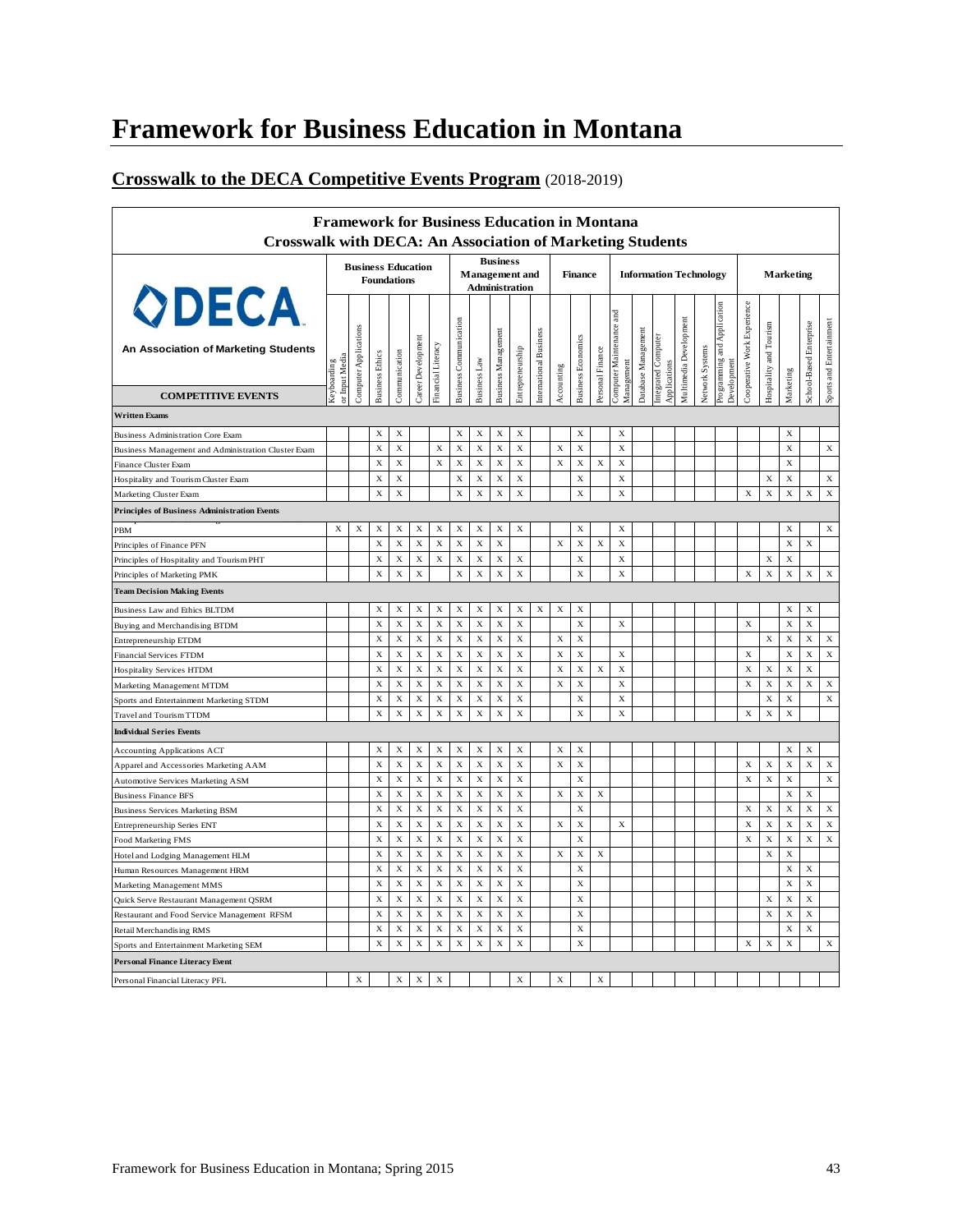### **Crosswalk to the DECA Competitive Events Program** (2018-2019)

| <b>Crosswalk with DECA: An Association of Marketing Students</b>   |                               |                                                 |                         |                                          |                    |                   |                               |                            |                                                                   |                  |                        |             |                           |                  | <b>Framework for Business Education in Montana</b> |                     |                                    |                        |                 |                                            |                             |                                |                  |                         |                          |
|--------------------------------------------------------------------|-------------------------------|-------------------------------------------------|-------------------------|------------------------------------------|--------------------|-------------------|-------------------------------|----------------------------|-------------------------------------------------------------------|------------------|------------------------|-------------|---------------------------|------------------|----------------------------------------------------|---------------------|------------------------------------|------------------------|-----------------|--------------------------------------------|-----------------------------|--------------------------------|------------------|-------------------------|--------------------------|
|                                                                    |                               | <b>Business Education</b><br><b>Foundations</b> |                         |                                          |                    |                   |                               |                            | <b>Business</b><br><b>Management</b> and<br><b>Administration</b> |                  |                        |             | <b>Finance</b>            |                  |                                                    |                     | <b>Information Technology</b>      |                        |                 | Marketing                                  |                             |                                |                  |                         |                          |
| <b>ODECA</b><br>An Association of Marketing Students               | or Input Media<br>Keyboarding | Computer Applications                           | <b>Business Ethics</b>  | Communication                            | Career Development | inancial Literacy | <b>Business Communication</b> | Business Law               | Business Management                                               | Entrepreneurship | International Business | Accounting  | <b>Business Economics</b> | Personal Finance | and<br>Computer Maintenance<br>Management          | Database Management | ntegrated Computer<br>Applications | Multimedia Development | Network Systems | Programming and Application<br>Development | Cooperative Work Experience | <b>Hospitality and Tourism</b> | Marketing        | School-Based Enterprise | Sports and Entertainment |
| <b>COMPETITIVE EVENTS</b>                                          |                               |                                                 |                         |                                          |                    |                   |                               |                            |                                                                   |                  |                        |             |                           |                  |                                                    |                     |                                    |                        |                 |                                            |                             |                                |                  |                         |                          |
| <b>Written Exams</b>                                               |                               |                                                 |                         |                                          |                    |                   |                               |                            |                                                                   |                  |                        |             |                           |                  |                                                    |                     |                                    |                        |                 |                                            |                             |                                |                  |                         |                          |
| <b>Business Administration Core Exam</b>                           |                               |                                                 | $\mathbf x$             | $\mathbf x$                              |                    |                   | $\mathbf x$                   | $\mathbf X$                | $\mathbf X$                                                       | X                |                        |             | $\mathbf x$               |                  | $\mathbf X$                                        |                     |                                    |                        |                 |                                            |                             |                                | $\mathbf x$      |                         |                          |
| Business Management and Administration Cluster Exam                |                               |                                                 | $\bf{X}$                | $\mathbf x$                              |                    | X                 | $\mathbf X$                   | $\mathbf X$                | $\mathbf X$                                                       | $\mathbf x$      |                        | X           | $\mathbf x$               |                  | $\mathbf x$                                        |                     |                                    |                        |                 |                                            |                             |                                | $\bf{X}$         |                         | $\mathbf X$              |
| Finance Cluster Exam                                               |                               |                                                 | $\mathbf x$             | $\mathbf X$                              |                    | $\mathbf X$       | $\mathbf x$                   | $\mathbf X$                | $\mathbf X$                                                       | $\mathbf X$      |                        | $\mathbf X$ | $\mathbf X$               | X                | $\mathbf X$                                        |                     |                                    |                        |                 |                                            |                             |                                | $\mathbf x$      |                         |                          |
| Hospitality and Tourism Cluster Exam                               |                               |                                                 | X                       | X                                        |                    |                   | X                             | $\mathbf X$                | $\mathbf X$                                                       | X                |                        |             | $\mathbf X$               |                  | X                                                  |                     |                                    |                        |                 |                                            |                             | X                              | X                |                         | X                        |
| Marketing Cluster Exam                                             |                               |                                                 | $\bf{X}$                | $\mathbf X$                              |                    |                   | $\mathbf x$                   | X                          | $\mathbf x$                                                       | X                |                        |             | $\mathbf x$               |                  | $\mathbf x$                                        |                     |                                    |                        |                 |                                            | $\mathbf X$                 | $\bar{X}$                      | $\mathbf x$      | $\bf{X}$                | $\mathbf x$              |
| <b>Principles of Business Administration Events</b>                |                               |                                                 |                         |                                          |                    |                   |                               |                            |                                                                   |                  |                        |             |                           |                  |                                                    |                     |                                    |                        |                 |                                            |                             |                                |                  |                         |                          |
| PBM                                                                | X                             | $\mathbf X$                                     | X                       | $\mathbf X$                              | $\mathbf X$        | X                 | $\mathbf X$                   | $\mathbf X$                | $\mathbf X$                                                       | X                |                        |             | X                         |                  | X                                                  |                     |                                    |                        |                 |                                            |                             |                                | X                |                         | $\mathbf X$              |
| Principles of Finance PFN                                          |                               |                                                 | $\mathbf x$             | $\mathbf X$                              | $\mathbf x$        | $\mathbf X$       | $\mathbf x$                   | $\mathbf X$                | $\mathbf X$                                                       |                  |                        | $\mathbf X$ | $\mathbf X$               | $\mathbf X$      | $\mathbf X$                                        |                     |                                    |                        |                 |                                            |                             |                                | $\mathbf x$      | X                       |                          |
| Principles of Hospitality and Tourism PHT                          |                               |                                                 | X                       | $\mathbf X$                              | $\mathbf x$        | $\mathbf x$       | X                             | $\mathbf X$                | $\mathbf x$                                                       | X                |                        |             | $\mathbf X$               |                  | $\mathbf X$                                        |                     |                                    |                        |                 |                                            |                             | X                              | X                |                         |                          |
| Principles of Marketing PMK                                        |                               |                                                 | $\bf{X}$                | $\bar{X}$                                | X                  |                   | $\mathbf x$                   | $\mathbf X$                | $\mathbf X$                                                       | X                |                        |             | $\mathbf X$               |                  | $\mathbf x$                                        |                     |                                    |                        |                 |                                            | $\mathbf X$                 | X                              | $\mathbf x$      | $\mathbf x$             | $\mathbf X$              |
| <b>Team Decision Making Events</b>                                 |                               |                                                 |                         |                                          |                    |                   |                               |                            |                                                                   |                  |                        |             |                           |                  |                                                    |                     |                                    |                        |                 |                                            |                             |                                |                  |                         |                          |
|                                                                    |                               |                                                 | X                       | $\mathbf X$                              | $\mathbf X$        | X                 | X                             | $\mathbf X$                | $\mathbf X$                                                       | X                |                        |             | $\mathbf X$               |                  |                                                    |                     |                                    |                        |                 |                                            |                             |                                | X                | $\mathbf X$             |                          |
| Business Law and Ethics BLTDM                                      |                               |                                                 | $\mathbf X$             | $\mathbf x$                              | $\mathbf X$        | $\mathbf x$       | $\mathbf x$                   | $\mathbf X$                | $\mathbf X$                                                       | $\mathbf x$      | X                      | X           | X                         |                  | $\mathbf X$                                        |                     |                                    |                        |                 |                                            | $\mathbf X$                 |                                | X                | X                       |                          |
| Buying and Merchandising BTDM                                      |                               |                                                 | $\mathbf x$             | $\mathbf X$                              | X                  | $\mathbf X$       | $\mathbf X$                   | $\mathbf X$                | $\mathbf X$                                                       | $\mathbf x$      |                        | X           | X                         |                  |                                                    |                     |                                    |                        |                 |                                            |                             | $\mathbf X$                    | X                | $\mathbf X$             | $\mathbf X$              |
| Entrepreneurship ETDM                                              |                               |                                                 | $\mathbf X$             | $\mathbf x$                              | $\mathbf X$        | $\mathbf x$       | $\mathbf X$                   | $\mathbf X$                | $\mathbf X$                                                       | $\mathbf X$      |                        | $\mathbf x$ | X                         |                  | X                                                  |                     |                                    |                        |                 |                                            | $\mathbf X$                 |                                | $\mathbf x$      | X                       | $\mathbf x$              |
| Financial Services FTDM<br>Hospitality Services HTDM               |                               |                                                 | $\mathbf x$             | $\mathbf x$                              | $\mathbf X$        | $\mathbf x$       | $\mathbf x$                   | $\mathbf x$                | $\mathbf x$                                                       | $\mathbf x$      |                        | X           | X                         | $\mathbf X$      | $\mathbf X$                                        |                     |                                    |                        |                 |                                            | $\mathbf x$                 | $\mathbf X$                    | $\mathbf X$      | $\mathbf x$             |                          |
|                                                                    |                               |                                                 | X                       | X                                        | $\mathbf X$        | X                 | X                             | $\mathbf X$                | $\mathbf X$                                                       | X                |                        | X           | $\mathbf X$               |                  | $\mathbf X$                                        |                     |                                    |                        |                 |                                            | $\mathbf X$                 | $\mathbf X$                    | X                | X                       | $\mathbf X$              |
| Marketing Management MTDM                                          |                               |                                                 | $\mathbf X$             | $\mathbf x$                              | X                  | X                 | $\mathbf x$                   | X                          | X                                                                 | X                |                        |             | $\mathbf x$               |                  | $\mathbf X$                                        |                     |                                    |                        |                 |                                            |                             | X                              | $\mathbf X$      |                         | $\mathbf x$              |
| Sports and Entertainment Marketing STDM<br>Travel and Tourism TTDM |                               |                                                 | $\mathbf x$             | X                                        | X                  | X                 | X                             | $\mathbf x$                | $\mathbf x$                                                       | X                |                        |             | $\mathbf X$               |                  | $\mathbf X$                                        |                     |                                    |                        |                 |                                            | $\mathbf X$                 | X                              | $\bf{X}$         |                         |                          |
| <b>Individual Series Events</b>                                    |                               |                                                 |                         |                                          |                    |                   |                               |                            |                                                                   |                  |                        |             |                           |                  |                                                    |                     |                                    |                        |                 |                                            |                             |                                |                  |                         |                          |
|                                                                    |                               |                                                 |                         |                                          |                    |                   |                               |                            |                                                                   |                  |                        |             |                           |                  |                                                    |                     |                                    |                        |                 |                                            |                             |                                |                  |                         |                          |
| <b>Accounting Applications ACT</b>                                 |                               |                                                 | X                       | $\mathbf X$                              | $\mathbf X$        | $\mathbf X$       | $\mathbf X$                   | $\mathbf X$                | $\mathbf X$                                                       | X                |                        | X           | X                         |                  |                                                    |                     |                                    |                        |                 |                                            |                             |                                | X                | X                       |                          |
| Apparel and Accessories Marketing AAM                              |                               |                                                 | X                       | $\mathbf X$                              | $\mathbf X$        | $\mathbf X$       | $\mathbf X$                   | $\mathbf X$                | $\mathbf X$                                                       | X                |                        | $\mathbf X$ | X                         |                  |                                                    |                     |                                    |                        |                 |                                            | X                           | X                              | X                | X                       | X                        |
| Automotive Services Marketing ASM                                  |                               |                                                 | $\mathbf x$             | $\mathbf x$                              | $\mathbf x$        | $\mathbf X$       | X                             | X                          | $\mathbf X$                                                       | X                |                        |             | X                         |                  |                                                    |                     |                                    |                        |                 |                                            | $\mathbf X$                 | X                              | $\mathbf x$      |                         | $\mathbf X$              |
| <b>Business Finance BFS</b>                                        |                               |                                                 | $\mathbf x$             | $\mathbf X$                              | $\mathbf x$        | $\mathbf X$       | $\mathbf X$                   | $\mathbf X$                | $\mathbf X$                                                       | $\mathbf X$      |                        | $\mathbf X$ | X                         | X                |                                                    |                     |                                    |                        |                 |                                            |                             |                                | $\mathbf x$      | X                       |                          |
| <b>Business Services Marketing BSM</b>                             |                               |                                                 | $\mathbf x$             | $\mathbf X$                              | $\mathbf X$        | $\mathbf X$       | $\mathbf x$                   | $\mathbf X$                | $\mathbf X$                                                       | $\mathbf X$      |                        |             | $\mathbf X$               |                  |                                                    |                     |                                    |                        |                 |                                            | $\mathbf X$                 | $\mathbf X$                    | $\mathbf x$      | $\mathbf X$             | $\mathbf X$              |
| Entrepreneurship Series ENT                                        |                               |                                                 | X                       | X                                        | $\mathbf X$        | X                 | X                             | X                          | X                                                                 | X                |                        | X           | $\mathbf X$               |                  | $\mathbf X$                                        |                     |                                    |                        |                 |                                            | X                           | X                              | X                | $\bf{x}$                | $\mathbf X$              |
| Food Marketing FMS                                                 |                               |                                                 | $\mathbf x$             | X                                        | X                  | $\mathbf x$       | X                             | $\mathbf x$                | $\mathbf x$                                                       | X                |                        |             | X                         |                  |                                                    |                     |                                    |                        |                 |                                            | X                           | X<br>$\bf{X}$                  | $\mathbf x$      | $\bf{x}$                | $\mathbf X$              |
| Hotel and Lodging Management HLM                                   |                               |                                                 | $\mathbf x$             | $\bf{X}$                                 | $\mathbf x$        | $\bf{X}$          | $\mathbf x$                   | $\mathbf X$                | $\mathbf X$                                                       | $\mathbf X$      |                        | X           | $\mathbf X$               | X                |                                                    |                     |                                    |                        |                 |                                            |                             |                                | $\mathbf x$      |                         |                          |
| Human Resources Management HRM                                     |                               |                                                 | $\bf{X}$<br>$\mathbf x$ | $\mathbf x$<br>$\boldsymbol{\mathrm{X}}$ | X<br>$\mathbf X$   | X<br>$\bf{X}$     | X<br>$\mathbf x$              | $\mathbf x$<br>$\mathbf X$ | $\mathbf X$<br>$\mathbf X$                                        | $\mathbf x$<br>X |                        |             | X<br>$\mathbf X$          |                  |                                                    |                     |                                    |                        |                 |                                            |                             |                                | X<br>$\mathbf x$ | X<br>$\bf{X}$           |                          |
| Marketing Management MMS                                           |                               |                                                 | X                       | $\mathbf X$                              | X                  | X                 |                               |                            | $\mathbf X$                                                       | X                |                        |             |                           |                  |                                                    |                     |                                    |                        |                 |                                            |                             |                                |                  |                         |                          |
| Quick Serve Restaurant Management QSRM                             |                               |                                                 | $\mathbf x$             | $\mathbf X$                              | $\mathbf x$        | $\mathbf x$       | X<br>$\mathbf x$              | X<br>$\mathbf X$           | $\mathbf X$                                                       | $\mathbf X$      |                        |             | X<br>$\mathbf x$          |                  |                                                    |                     |                                    |                        |                 |                                            |                             | X<br>$\mathbf x$               | X<br>$\mathbf x$ | X<br>$\mathbf X$        |                          |
| Restaurant and Food Service Management RFSM                        |                               |                                                 | $\bf{X}$                | $\mathbf x$                              | X                  | $\bf{X}$          | $\mathbf x$                   | $\mathbf x$                | $\mathbf x$                                                       | $\mathbf x$      |                        |             | $\mathbf x$               |                  |                                                    |                     |                                    |                        |                 |                                            |                             |                                | $\bf{X}$         | $\mathbf X$             |                          |
| Retail Merchandising RMS                                           |                               |                                                 | X                       | X                                        | X                  | X                 | X                             | X                          | X                                                                 | X                |                        |             | X                         |                  |                                                    |                     |                                    |                        |                 |                                            | X                           | X                              | X                |                         | $\mathbf X$              |
| Sports and Entertainment Marketing SEM                             |                               |                                                 |                         |                                          |                    |                   |                               |                            |                                                                   |                  |                        |             |                           |                  |                                                    |                     |                                    |                        |                 |                                            |                             |                                |                  |                         |                          |
| <b>Personal Finance Literacy Event</b>                             |                               |                                                 |                         |                                          |                    |                   |                               |                            |                                                                   |                  |                        |             |                           |                  |                                                    |                     |                                    |                        |                 |                                            |                             |                                |                  |                         |                          |
| Personal Financial Literacy PFL                                    |                               | $\mathbf x$                                     |                         | $\mathbf x$                              | $\mathbf x$        | X                 |                               |                            |                                                                   | X                |                        | X           |                           | X                |                                                    |                     |                                    |                        |                 |                                            |                             |                                |                  |                         |                          |